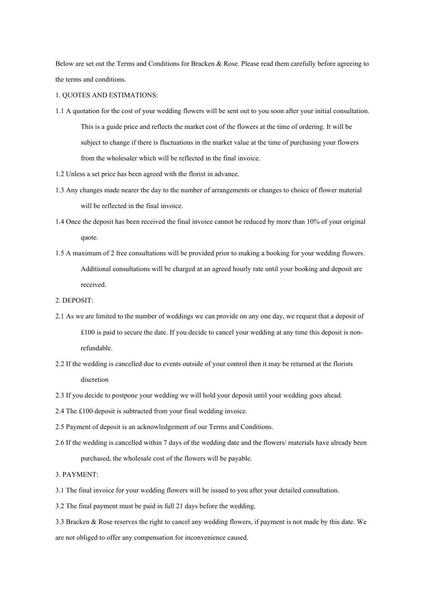Below are set out the Terms and Conditions for Bracken & Rose. Please read them carefully before agreeing to the terms and conditions.

# 1. QUOTES AND ESTIMATIONS:

- 1.1 A quotation for the cost of your wedding flowers will be sent out to you soon after your initial consultation. This is a guide price and reflects the market cost of the flowers at the time of ordering. It will be subject to change if there is fluctuations in the market value at the time of purchasing your flowers from the wholesaler which will be reflected in the final invoice.
- 1.2 Unless a set price has been agreed with the florist in advance.
- 1.3 Any changes made nearer the day to the number of arrangements or changes to choice of flower material will be reflected in the final invoice.
- 1.4 Once the deposit has been received the final invoice cannot be reduced by more than 10% of your original quote.
- 1.5 A maximum of 2 free consultations will be provided prior to making a booking for your wedding flowers. Additional consultations will be charged at an agreed hourly rate until your booking and deposit are received.

# 2. DEPOSIT:

- 2.1 As we are limited to the number of weddings we can provide on any one day, we request that a deposit of £100 is paid to secure the date. If you decide to cancel your wedding at any time this deposit is nonrefundable.
- 2.2 If the wedding is cancelled due to events outside of your control then it may be returned at the florists discretion
- 2.3 If you decide to postpone your wedding we will hold your deposit until your wedding goes ahead.
- 2.4 The £100 deposit is subtracted from your final wedding invoice.
- 2.5 Payment of deposit is an acknowledgement of our Terms and Conditions.
- 2.6 If the wedding is cancelled within 7 days of the wedding date and the flowers/ materials have already been purchased, the wholesale cost of the flowers will be payable.

3. PAYMENT:

- 3.1 The final invoice for your wedding flowers will be issued to you after your detailed consultation.
- 3.2 The final payment must be paid in full 21 days before the wedding.
- 3.3 Bracken & Rose reserves the right to cancel any wedding flowers, if payment is not made by this date. We are not obliged to offer any compensation for inconvenience caused.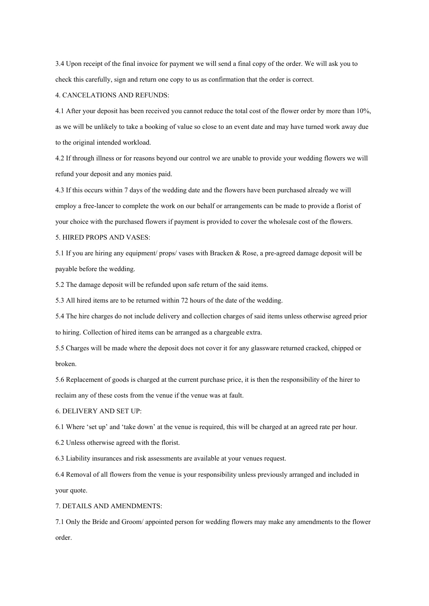3.4 Upon receipt of the final invoice for payment we will send a final copy of the order. We will ask you to check this carefully, sign and return one copy to us as confirmation that the order is correct.

## 4. CANCELATIONS AND REFUNDS:

4.1 After your deposit has been received you cannot reduce the total cost of the flower order by more than 10%, as we will be unlikely to take a booking of value so close to an event date and may have turned work away due to the original intended workload.

4.2 If through illness or for reasons beyond our control we are unable to provide your wedding flowers we will refund your deposit and any monies paid.

4.3 If this occurs within 7 days of the wedding date and the flowers have been purchased already we will employ a free-lancer to complete the work on our behalf or arrangements can be made to provide a florist of your choice with the purchased flowers if payment is provided to cover the wholesale cost of the flowers. 5. HIRED PROPS AND VASES:

5.1 If you are hiring any equipment/ props/ vases with Bracken & Rose, a pre-agreed damage deposit will be payable before the wedding.

5.2 The damage deposit will be refunded upon safe return of the said items.

5.3 All hired items are to be returned within 72 hours of the date of the wedding.

5.4 The hire charges do not include delivery and collection charges of said items unless otherwise agreed prior to hiring. Collection of hired items can be arranged as a chargeable extra.

5.5 Charges will be made where the deposit does not cover it for any glassware returned cracked, chipped or broken.

5.6 Replacement of goods is charged at the current purchase price, it is then the responsibility of the hirer to reclaim any of these costs from the venue if the venue was at fault.

6. DELIVERY AND SET UP:

6.1 Where 'set up' and 'take down' at the venue is required, this will be charged at an agreed rate per hour.

6.2 Unless otherwise agreed with the florist.

6.3 Liability insurances and risk assessments are available at your venues request.

6.4 Removal of all flowers from the venue is your responsibility unless previously arranged and included in your quote.

7. DETAILS AND AMENDMENTS:

7.1 Only the Bride and Groom/ appointed person for wedding flowers may make any amendments to the flower order.